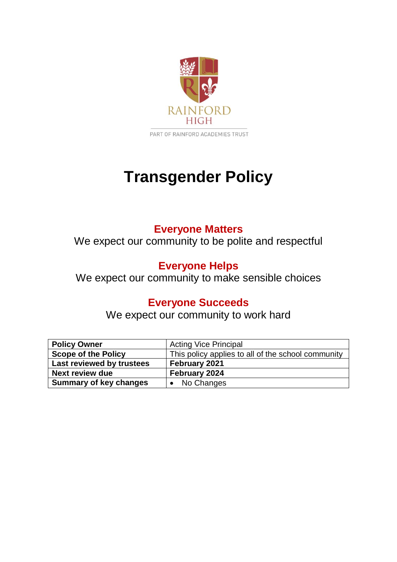

# **Transgender Policy**

# **Everyone Matters**

We expect our community to be polite and respectful

# **Everyone Helps**

We expect our community to make sensible choices

# **Everyone Succeeds**

We expect our community to work hard

| <b>Policy Owner</b>           | <b>Acting Vice Principal</b>                       |
|-------------------------------|----------------------------------------------------|
| <b>Scope of the Policy</b>    | This policy applies to all of the school community |
| Last reviewed by trustees     | February 2021                                      |
| <b>Next review due</b>        | February 2024                                      |
| <b>Summary of key changes</b> | • No Changes                                       |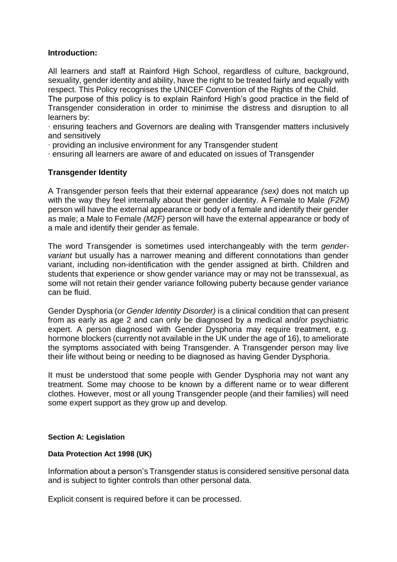#### **Introduction:**

All learners and staff at Rainford High School, regardless of culture, background, sexuality, gender identity and ability, have the right to be treated fairly and equally with respect. This Policy recognises the UNICEF Convention of the Rights of the Child.

The purpose of this policy is to explain Rainford High's good practice in the field of Transgender consideration in order to minimise the distress and disruption to all learners by:

∙ ensuring teachers and Governors are dealing with Transgender matters inclusively and sensitively

∙ providing an inclusive environment for any Transgender student

∙ ensuring all learners are aware of and educated on issues of Transgender

#### **Transgender Identity**

A Transgender person feels that their external appearance *(sex)* does not match up with the way they feel internally about their gender identity. A Female to Male *(F2M)*  person will have the external appearance or body of a female and identify their gender as male; a Male to Female *(M2F)* person will have the external appearance or body of a male and identify their gender as female.

The word Transgender is sometimes used interchangeably with the term *gendervariant* but usually has a narrower meaning and different connotations than gender variant, including non-identification with the gender assigned at birth. Children and students that experience or show gender variance may or may not be transsexual, as some will not retain their gender variance following puberty because gender variance can be fluid.

Gender Dysphoria (*or Gender Identity Disorder)* is a clinical condition that can present from as early as age 2 and can only be diagnosed by a medical and/or psychiatric expert. A person diagnosed with Gender Dysphoria may require treatment, e.g. hormone blockers (currently not available in the UK under the age of 16), to ameliorate the symptoms associated with being Transgender. A Transgender person may live their life without being or needing to be diagnosed as having Gender Dysphoria.

It must be understood that some people with Gender Dysphoria may not want any treatment. Some may choose to be known by a different name or to wear different clothes. However, most or all young Transgender people (and their families) will need some expert support as they grow up and develop.

#### **Section A: Legislation**

#### **Data Protection Act 1998 (UK)**

Information about a person's Transgender status is considered sensitive personal data and is subject to tighter controls than other personal data.

Explicit consent is required before it can be processed.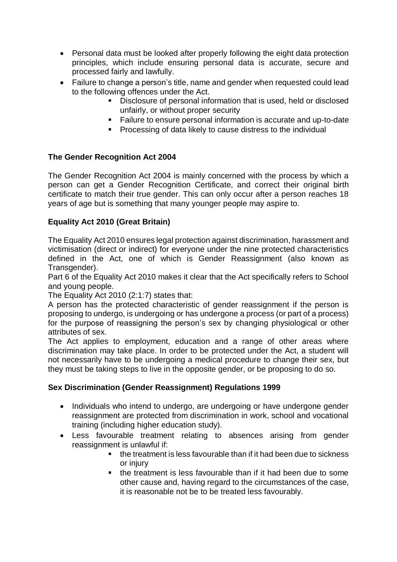- Personal data must be looked after properly following the eight data protection principles, which include ensuring personal data is accurate, secure and processed fairly and lawfully.
- Failure to change a person's title, name and gender when requested could lead to the following offences under the Act.
	- Disclosure of personal information that is used, held or disclosed unfairly, or without proper security
	- Failure to ensure personal information is accurate and up-to-date
	- Processing of data likely to cause distress to the individual

# **The Gender Recognition Act 2004**

The Gender Recognition Act 2004 is mainly concerned with the process by which a person can get a Gender Recognition Certificate, and correct their original birth certificate to match their true gender. This can only occur after a person reaches 18 years of age but is something that many younger people may aspire to.

# **Equality Act 2010 (Great Britain)**

The Equality Act 2010 ensures legal protection against discrimination, harassment and victimisation (direct or indirect) for everyone under the nine protected characteristics defined in the Act, one of which is Gender Reassignment (also known as Transgender).

Part 6 of the Equality Act 2010 makes it clear that the Act specifically refers to School and young people.

The Equality Act 2010 (2:1:7) states that:

A person has the protected characteristic of gender reassignment if the person is proposing to undergo, is undergoing or has undergone a process (or part of a process) for the purpose of reassigning the person's sex by changing physiological or other attributes of sex.

The Act applies to employment, education and a range of other areas where discrimination may take place. In order to be protected under the Act, a student will not necessarily have to be undergoing a medical procedure to change their sex, but they must be taking steps to live in the opposite gender, or be proposing to do so.

# **Sex Discrimination (Gender Reassignment) Regulations 1999**

- Individuals who intend to undergo, are undergoing or have undergone gender reassignment are protected from discrimination in work, school and vocational training (including higher education study).
- Less favourable treatment relating to absences arising from gender reassignment is unlawful if:
	- the treatment is less favourable than if it had been due to sickness or injury
	- the treatment is less favourable than if it had been due to some other cause and, having regard to the circumstances of the case, it is reasonable not be to be treated less favourably.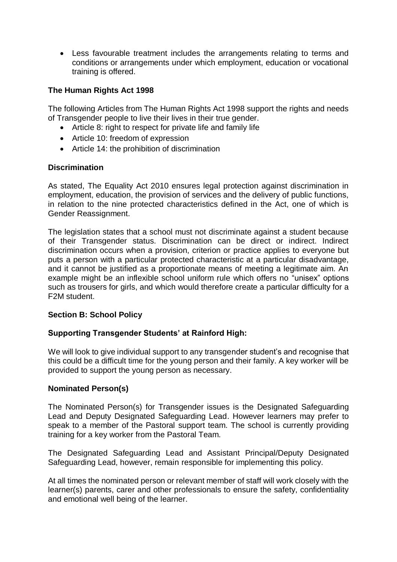• Less favourable treatment includes the arrangements relating to terms and conditions or arrangements under which employment, education or vocational training is offered.

# **The Human Rights Act 1998**

The following Articles from The Human Rights Act 1998 support the rights and needs of Transgender people to live their lives in their true gender.

- Article 8: right to respect for private life and family life
- Article 10: freedom of expression
- Article 14: the prohibition of discrimination

#### **Discrimination**

As stated, The Equality Act 2010 ensures legal protection against discrimination in employment, education, the provision of services and the delivery of public functions, in relation to the nine protected characteristics defined in the Act, one of which is Gender Reassignment.

The legislation states that a school must not discriminate against a student because of their Transgender status. Discrimination can be direct or indirect. Indirect discrimination occurs when a provision, criterion or practice applies to everyone but puts a person with a particular protected characteristic at a particular disadvantage, and it cannot be justified as a proportionate means of meeting a legitimate aim. An example might be an inflexible school uniform rule which offers no "unisex" options such as trousers for girls, and which would therefore create a particular difficulty for a F2M student.

#### **Section B: School Policy**

# **Supporting Transgender Students' at Rainford High:**

We will look to give individual support to any transgender student's and recognise that this could be a difficult time for the young person and their family. A key worker will be provided to support the young person as necessary.

#### **Nominated Person(s)**

The Nominated Person(s) for Transgender issues is the Designated Safeguarding Lead and Deputy Designated Safeguarding Lead. However learners may prefer to speak to a member of the Pastoral support team. The school is currently providing training for a key worker from the Pastoral Team.

The Designated Safeguarding Lead and Assistant Principal/Deputy Designated Safeguarding Lead, however, remain responsible for implementing this policy.

At all times the nominated person or relevant member of staff will work closely with the learner(s) parents, carer and other professionals to ensure the safety, confidentiality and emotional well being of the learner.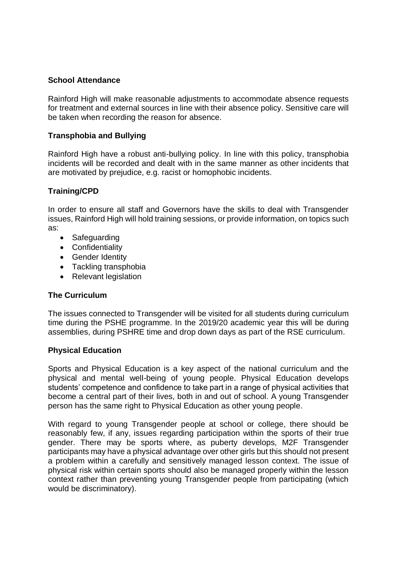## **School Attendance**

Rainford High will make reasonable adjustments to accommodate absence requests for treatment and external sources in line with their absence policy. Sensitive care will be taken when recording the reason for absence.

## **Transphobia and Bullying**

Rainford High have a robust anti-bullying policy. In line with this policy, transphobia incidents will be recorded and dealt with in the same manner as other incidents that are motivated by prejudice, e.g. racist or homophobic incidents.

# **Training/CPD**

In order to ensure all staff and Governors have the skills to deal with Transgender issues, Rainford High will hold training sessions, or provide information, on topics such as:

- Safeguarding
- Confidentiality
- Gender Identity
- Tackling transphobia
- Relevant legislation

#### **The Curriculum**

The issues connected to Transgender will be visited for all students during curriculum time during the PSHE programme. In the 2019/20 academic year this will be during assemblies, during PSHRE time and drop down days as part of the RSE curriculum.

#### **Physical Education**

Sports and Physical Education is a key aspect of the national curriculum and the physical and mental well-being of young people. Physical Education develops students' competence and confidence to take part in a range of physical activities that become a central part of their lives, both in and out of school. A young Transgender person has the same right to Physical Education as other young people.

With regard to young Transgender people at school or college, there should be reasonably few, if any, issues regarding participation within the sports of their true gender. There may be sports where, as puberty develops, M2F Transgender participants may have a physical advantage over other girls but this should not present a problem within a carefully and sensitively managed lesson context. The issue of physical risk within certain sports should also be managed properly within the lesson context rather than preventing young Transgender people from participating (which would be discriminatory).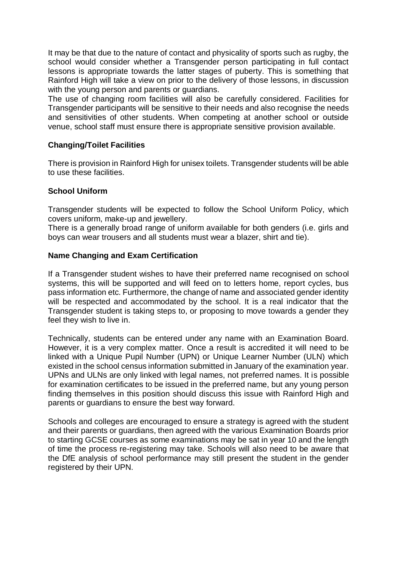It may be that due to the nature of contact and physicality of sports such as rugby, the school would consider whether a Transgender person participating in full contact lessons is appropriate towards the latter stages of puberty. This is something that Rainford High will take a view on prior to the delivery of those lessons, in discussion with the young person and parents or quardians.

The use of changing room facilities will also be carefully considered. Facilities for Transgender participants will be sensitive to their needs and also recognise the needs and sensitivities of other students. When competing at another school or outside venue, school staff must ensure there is appropriate sensitive provision available.

## **Changing/Toilet Facilities**

There is provision in Rainford High for unisex toilets. Transgender students will be able to use these facilities.

#### **School Uniform**

Transgender students will be expected to follow the School Uniform Policy, which covers uniform, make-up and jewellery.

There is a generally broad range of uniform available for both genders (i.e. girls and boys can wear trousers and all students must wear a blazer, shirt and tie).

#### **Name Changing and Exam Certification**

If a Transgender student wishes to have their preferred name recognised on school systems, this will be supported and will feed on to letters home, report cycles, bus pass information etc. Furthermore, the change of name and associated gender identity will be respected and accommodated by the school. It is a real indicator that the Transgender student is taking steps to, or proposing to move towards a gender they feel they wish to live in.

Technically, students can be entered under any name with an Examination Board. However, it is a very complex matter. Once a result is accredited it will need to be linked with a Unique Pupil Number (UPN) or Unique Learner Number (ULN) which existed in the school census information submitted in January of the examination year. UPNs and ULNs are only linked with legal names, not preferred names. It is possible for examination certificates to be issued in the preferred name, but any young person finding themselves in this position should discuss this issue with Rainford High and parents or guardians to ensure the best way forward.

Schools and colleges are encouraged to ensure a strategy is agreed with the student and their parents or guardians, then agreed with the various Examination Boards prior to starting GCSE courses as some examinations may be sat in year 10 and the length of time the process re-registering may take. Schools will also need to be aware that the DfE analysis of school performance may still present the student in the gender registered by their UPN.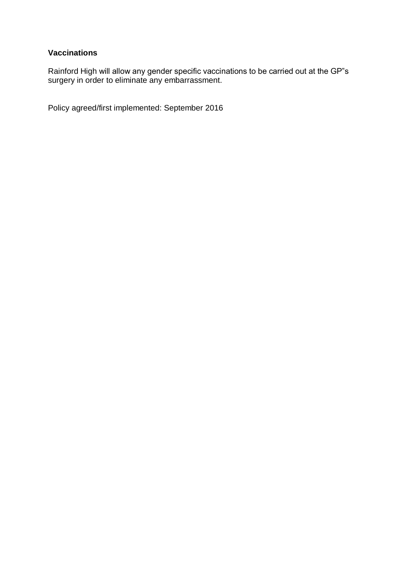# **Vaccinations**

Rainford High will allow any gender specific vaccinations to be carried out at the GP"s surgery in order to eliminate any embarrassment.

Policy agreed/first implemented: September 2016